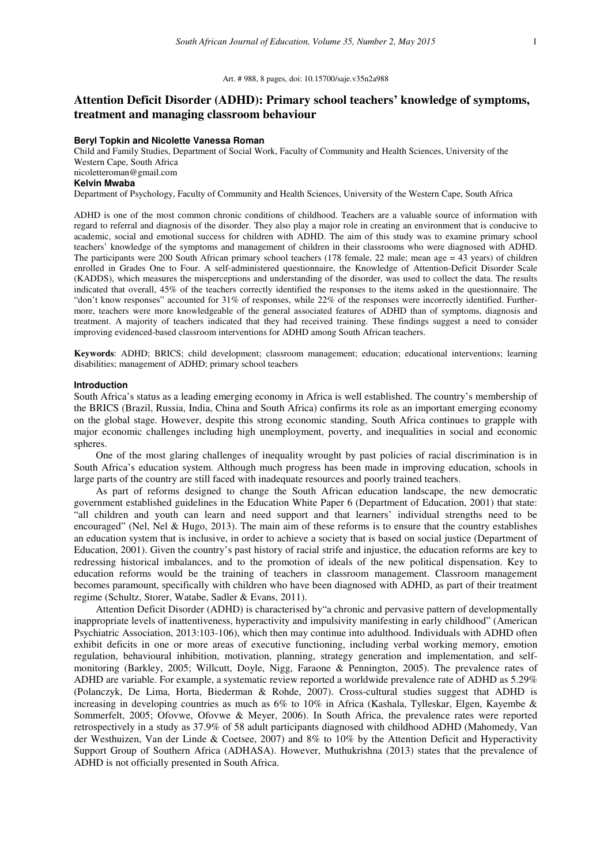### Art. # 988, 8 pages, doi: 10.15700/saje.v35n2a988

# **Attention Deficit Disorder (ADHD): Primary school teachers' knowledge of symptoms, treatment and managing classroom behaviour**

## **Beryl Topkin and Nicolette Vanessa Roman**

Child and Family Studies, Department of Social Work, Faculty of Community and Health Sciences, University of the Western Cape, South Africa nicoletteroman@gmail.com **Kelvin Mwaba** Department of Psychology, Faculty of Community and Health Sciences, University of the Western Cape, South Africa

ADHD is one of the most common chronic conditions of childhood. Teachers are a valuable source of information with regard to referral and diagnosis of the disorder. They also play a major role in creating an environment that is conducive to academic, social and emotional success for children with ADHD. The aim of this study was to examine primary school teachers' knowledge of the symptoms and management of children in their classrooms who were diagnosed with ADHD. The participants were 200 South African primary school teachers (178 female, 22 male; mean age = 43 years) of children enrolled in Grades One to Four. A self-administered questionnaire, the Knowledge of Attention-Deficit Disorder Scale (KADDS), which measures the misperceptions and understanding of the disorder, was used to collect the data. The results indicated that overall, 45% of the teachers correctly identified the responses to the items asked in the questionnaire. The "don't know responses" accounted for 31% of responses, while 22% of the responses were incorrectly identified. Furthermore, teachers were more knowledgeable of the general associated features of ADHD than of symptoms, diagnosis and treatment. A majority of teachers indicated that they had received training. These findings suggest a need to consider improving evidenced-based classroom interventions for ADHD among South African teachers.

**Keywords**: ADHD; BRICS; child development; classroom management; education; educational interventions; learning disabilities; management of ADHD; primary school teachers

#### **Introduction**

South Africa's status as a leading emerging economy in Africa is well established. The country's membership of the BRICS (Brazil, Russia, India, China and South Africa) confirms its role as an important emerging economy on the global stage. However, despite this strong economic standing, South Africa continues to grapple with major economic challenges including high unemployment, poverty, and inequalities in social and economic spheres.

One of the most glaring challenges of inequality wrought by past policies of racial discrimination is in South Africa's education system. Although much progress has been made in improving education, schools in large parts of the country are still faced with inadequate resources and poorly trained teachers.

As part of reforms designed to change the South African education landscape, the new democratic government established guidelines in the Education White Paper 6 (Department of Education, 2001) that state: "all children and youth can learn and need support and that learners' individual strengths need to be encouraged" (Nel, Nel & Hugo, 2013). The main aim of these reforms is to ensure that the country establishes an education system that is inclusive, in order to achieve a society that is based on social justice (Department of Education, 2001). Given the country's past history of racial strife and injustice, the education reforms are key to redressing historical imbalances, and to the promotion of ideals of the new political dispensation. Key to education reforms would be the training of teachers in classroom management. Classroom management becomes paramount, specifically with children who have been diagnosed with ADHD, as part of their treatment regime (Schultz, Storer, Watabe, Sadler & Evans, 2011).

Attention Deficit Disorder (ADHD) is characterised by"a chronic and pervasive pattern of developmentally inappropriate levels of inattentiveness, hyperactivity and impulsivity manifesting in early childhood" (American Psychiatric Association, 2013:103-106), which then may continue into adulthood. Individuals with ADHD often exhibit deficits in one or more areas of executive functioning, including verbal working memory, emotion regulation, behavioural inhibition, motivation, planning, strategy generation and implementation, and selfmonitoring (Barkley, 2005; Willcutt, Doyle, Nigg, Faraone & Pennington, 2005). The prevalence rates of ADHD are variable. For example, a systematic review reported a worldwide prevalence rate of ADHD as 5.29% (Polanczyk, De Lima, Horta, Biederman & Rohde, 2007). Cross-cultural studies suggest that ADHD is increasing in developing countries as much as 6% to 10% in Africa (Kashala, Tylleskar, Elgen, Kayembe & Sommerfelt, 2005; Ofovwe, Ofovwe & Meyer, 2006). In South Africa, the prevalence rates were reported retrospectively in a study as 37.9% of 58 adult participants diagnosed with childhood ADHD (Mahomedy, Van der Westhuizen, Van der Linde & Coetsee, 2007) and 8% to 10% by the Attention Deficit and Hyperactivity Support Group of Southern Africa (ADHASA). However, Muthukrishna (2013) states that the prevalence of ADHD is not officially presented in South Africa.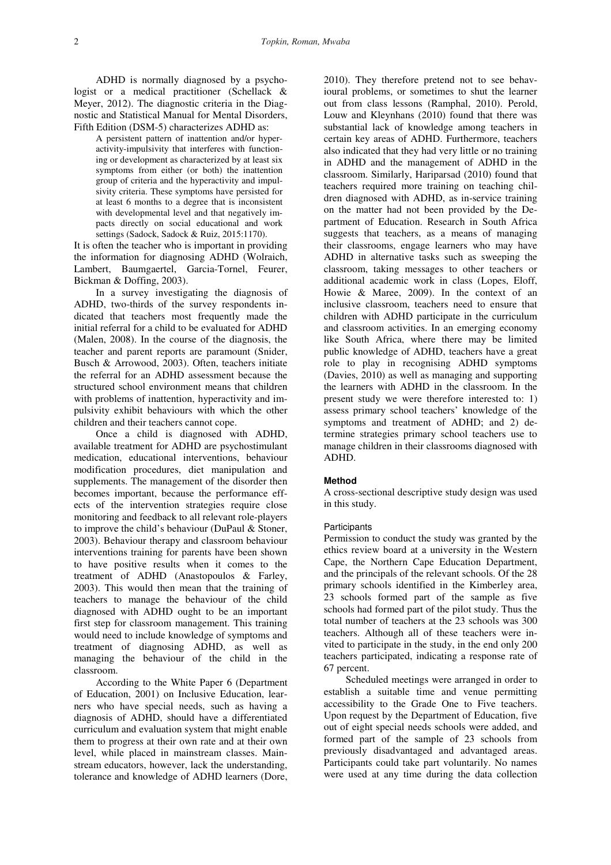ADHD is normally diagnosed by a psychologist or a medical practitioner (Schellack & Meyer, 2012). The diagnostic criteria in the Diagnostic and Statistical Manual for Mental Disorders, Fifth Edition (DSM-5) characterizes ADHD as:

> A persistent pattern of inattention and/or hyperactivity-impulsivity that interferes with functioning or development as characterized by at least six symptoms from either (or both) the inattention group of criteria and the hyperactivity and impulsivity criteria. These symptoms have persisted for at least 6 months to a degree that is inconsistent with developmental level and that negatively impacts directly on social educational and work settings (Sadock, Sadock & Ruiz, 2015:1170).

It is often the teacher who is important in providing the information for diagnosing ADHD (Wolraich, Lambert, Baumgaertel, Garcia-Tornel, Feurer, Bickman & Doffing, 2003).

In a survey investigating the diagnosis of ADHD, two-thirds of the survey respondents indicated that teachers most frequently made the initial referral for a child to be evaluated for ADHD (Malen, 2008). In the course of the diagnosis, the teacher and parent reports are paramount (Snider, Busch & Arrowood, 2003). Often, teachers initiate the referral for an ADHD assessment because the structured school environment means that children with problems of inattention, hyperactivity and impulsivity exhibit behaviours with which the other children and their teachers cannot cope.

Once a child is diagnosed with ADHD, available treatment for ADHD are psychostimulant medication, educational interventions, behaviour modification procedures, diet manipulation and supplements. The management of the disorder then becomes important, because the performance effects of the intervention strategies require close monitoring and feedback to all relevant role-players to improve the child's behaviour (DuPaul & Stoner, 2003). Behaviour therapy and classroom behaviour interventions training for parents have been shown to have positive results when it comes to the treatment of ADHD (Anastopoulos & Farley, 2003). This would then mean that the training of teachers to manage the behaviour of the child diagnosed with ADHD ought to be an important first step for classroom management. This training would need to include knowledge of symptoms and treatment of diagnosing ADHD, as well as managing the behaviour of the child in the classroom.

According to the White Paper 6 (Department of Education, 2001) on Inclusive Education, learners who have special needs, such as having a diagnosis of ADHD, should have a differentiated curriculum and evaluation system that might enable them to progress at their own rate and at their own level, while placed in mainstream classes. Mainstream educators, however, lack the understanding, tolerance and knowledge of ADHD learners (Dore, 2010). They therefore pretend not to see behavioural problems, or sometimes to shut the learner out from class lessons (Ramphal, 2010). Perold, Louw and Kleynhans (2010) found that there was substantial lack of knowledge among teachers in certain key areas of ADHD. Furthermore, teachers also indicated that they had very little or no training in ADHD and the management of ADHD in the classroom. Similarly, Hariparsad (2010) found that teachers required more training on teaching children diagnosed with ADHD, as in-service training on the matter had not been provided by the Department of Education. Research in South Africa suggests that teachers, as a means of managing their classrooms, engage learners who may have ADHD in alternative tasks such as sweeping the classroom, taking messages to other teachers or additional academic work in class (Lopes, Eloff, Howie & Maree, 2009). In the context of an inclusive classroom, teachers need to ensure that children with ADHD participate in the curriculum and classroom activities. In an emerging economy like South Africa, where there may be limited public knowledge of ADHD, teachers have a great role to play in recognising ADHD symptoms (Davies, 2010) as well as managing and supporting the learners with ADHD in the classroom. In the present study we were therefore interested to: 1) assess primary school teachers' knowledge of the symptoms and treatment of ADHD; and 2) determine strategies primary school teachers use to manage children in their classrooms diagnosed with ADHD.

#### **Method**

A cross-sectional descriptive study design was used in this study.

#### **Participants**

Permission to conduct the study was granted by the ethics review board at a university in the Western Cape, the Northern Cape Education Department, and the principals of the relevant schools. Of the 28 primary schools identified in the Kimberley area, 23 schools formed part of the sample as five schools had formed part of the pilot study. Thus the total number of teachers at the 23 schools was 300 teachers. Although all of these teachers were invited to participate in the study, in the end only 200 teachers participated, indicating a response rate of 67 percent.

Scheduled meetings were arranged in order to establish a suitable time and venue permitting accessibility to the Grade One to Five teachers. Upon request by the Department of Education, five out of eight special needs schools were added, and formed part of the sample of 23 schools from previously disadvantaged and advantaged areas. Participants could take part voluntarily. No names were used at any time during the data collection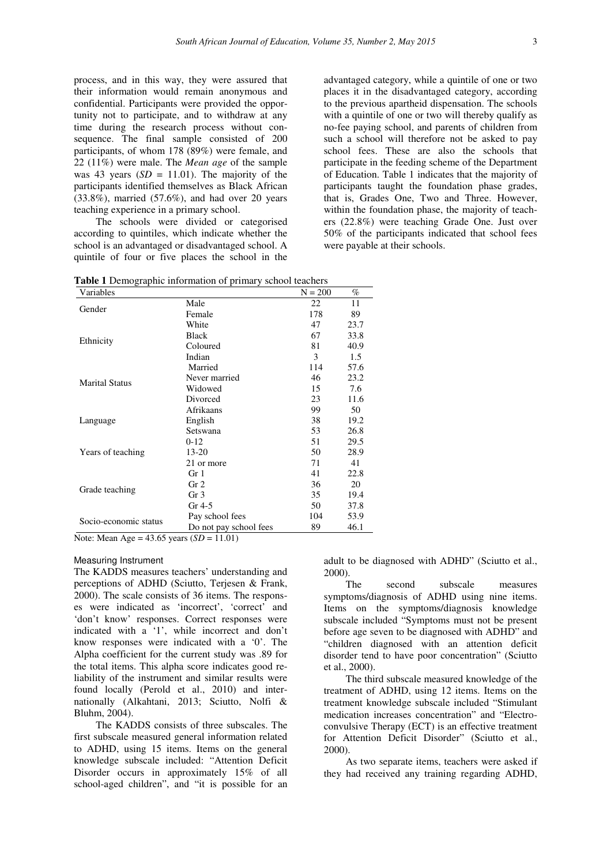process, and in this way, they were assured that their information would remain anonymous and confidential. Participants were provided the opportunity not to participate, and to withdraw at any time during the research process without consequence. The final sample consisted of 200 participants, of whom 178 (89%) were female, and 22 (11%) were male. The *Mean age* of the sample was 43 years  $(SD = 11.01)$ . The majority of the participants identified themselves as Black African  $(33.8\%)$ , married  $(57.6\%)$ , and had over 20 years teaching experience in a primary school.

The schools were divided or categorised according to quintiles, which indicate whether the school is an advantaged or disadvantaged school. A quintile of four or five places the school in the

advantaged category, while a quintile of one or two places it in the disadvantaged category, according to the previous apartheid dispensation. The schools with a quintile of one or two will thereby qualify as no-fee paying school, and parents of children from such a school will therefore not be asked to pay school fees. These are also the schools that participate in the feeding scheme of the Department of Education. Table 1 indicates that the majority of participants taught the foundation phase grades, that is, Grades One, Two and Three. However, within the foundation phase, the majority of teachers (22.8%) were teaching Grade One. Just over 50% of the participants indicated that school fees were payable at their schools.

**Table 1** Demographic information of primary school teachers

| Variables             |                        | $N = 200$ | $\%$ |
|-----------------------|------------------------|-----------|------|
| Gender                | Male                   | 22        | 11   |
|                       | Female                 | 178       | 89   |
|                       | White                  | 47        | 23.7 |
|                       | <b>Black</b>           | 67        | 33.8 |
| Ethnicity             | Coloured               | 81        | 40.9 |
|                       | Indian                 | 3         | 1.5  |
|                       | Married                | 114       | 57.6 |
| <b>Marital Status</b> | Never married          | 46        | 23.2 |
|                       | Widowed                | 15        | 7.6  |
|                       | Divorced               | 23        | 11.6 |
|                       | Afrikaans              | 99        | 50   |
| Language              | English                | 38        | 19.2 |
|                       | Setswana               | 53        | 26.8 |
|                       | $0-12$                 | 51        | 29.5 |
| Years of teaching     | 13-20                  | 50        | 28.9 |
|                       | 21 or more             | 71        | 41   |
|                       | Gr 1                   | 41        | 22.8 |
| Grade teaching        | Gr <sub>2</sub>        | 36        | 20   |
|                       | Gr <sub>3</sub>        | 35        | 19.4 |
|                       | $Gr 4-5$               | 50        | 37.8 |
| Socio-economic status | Pay school fees        | 104       | 53.9 |
|                       | Do not pay school fees | 89        | 46.1 |

Note: Mean Age = 43.65 years (*SD* = 11.01)

# Measuring Instrument

The KADDS measures teachers' understanding and perceptions of ADHD (Sciutto, Terjesen & Frank, 2000). The scale consists of 36 items. The responses were indicated as 'incorrect', 'correct' and 'don't know' responses. Correct responses were indicated with a '1', while incorrect and don't know responses were indicated with a '0'. The Alpha coefficient for the current study was .89 for the total items. This alpha score indicates good reliability of the instrument and similar results were found locally (Perold et al., 2010) and internationally (Alkahtani, 2013; Sciutto, Nolfi & Bluhm, 2004).

The KADDS consists of three subscales. The first subscale measured general information related to ADHD, using 15 items. Items on the general knowledge subscale included: "Attention Deficit Disorder occurs in approximately 15% of all school-aged children", and "it is possible for an

adult to be diagnosed with ADHD" (Sciutto et al., 2000).

The second subscale measures symptoms/diagnosis of ADHD using nine items. Items on the symptoms/diagnosis knowledge subscale included "Symptoms must not be present before age seven to be diagnosed with ADHD" and "children diagnosed with an attention deficit disorder tend to have poor concentration" (Sciutto et al., 2000).

The third subscale measured knowledge of the treatment of ADHD, using 12 items. Items on the treatment knowledge subscale included "Stimulant medication increases concentration" and "Electroconvulsive Therapy (ECT) is an effective treatment for Attention Deficit Disorder" (Sciutto et al., 2000).

As two separate items, teachers were asked if they had received any training regarding ADHD,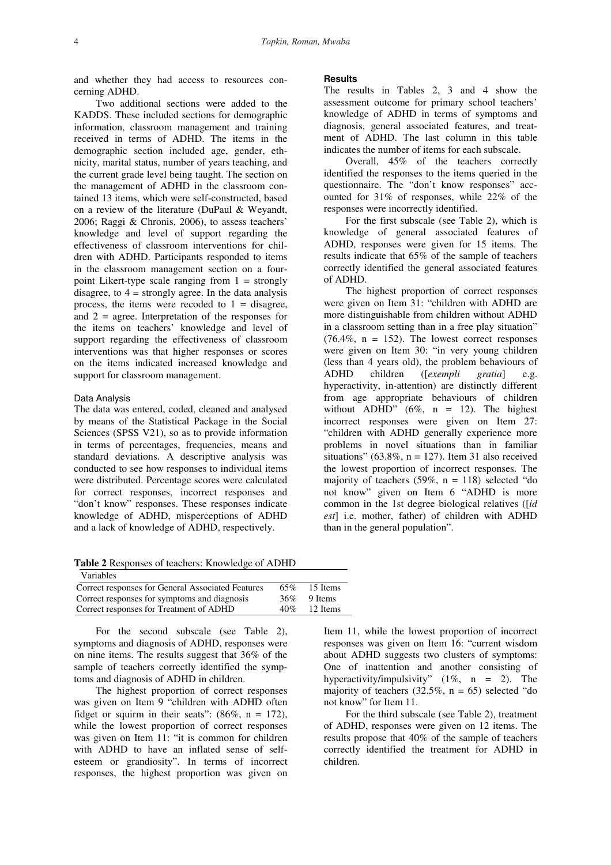and whether they had access to resources concerning ADHD.

Two additional sections were added to the KADDS. These included sections for demographic information, classroom management and training received in terms of ADHD. The items in the demographic section included age, gender, ethnicity, marital status, number of years teaching, and the current grade level being taught. The section on the management of ADHD in the classroom contained 13 items, which were self-constructed, based on a review of the literature (DuPaul & Weyandt, 2006; Raggi & Chronis, 2006), to assess teachers' knowledge and level of support regarding the effectiveness of classroom interventions for children with ADHD. Participants responded to items in the classroom management section on a fourpoint Likert-type scale ranging from  $1 =$  strongly disagree, to  $4 =$  strongly agree. In the data analysis process, the items were recoded to  $1 =$  disagree, and  $2 =$  agree. Interpretation of the responses for the items on teachers' knowledge and level of support regarding the effectiveness of classroom interventions was that higher responses or scores on the items indicated increased knowledge and support for classroom management.

# Data Analysis

The data was entered, coded, cleaned and analysed by means of the Statistical Package in the Social Sciences (SPSS V21), so as to provide information in terms of percentages, frequencies, means and standard deviations. A descriptive analysis was conducted to see how responses to individual items were distributed. Percentage scores were calculated for correct responses, incorrect responses and "don't know" responses. These responses indicate knowledge of ADHD, misperceptions of ADHD and a lack of knowledge of ADHD, respectively.

**Table 2** Responses of teachers: Knowledge of ADHD

| <b>Variables</b>                                  |     |          |
|---------------------------------------------------|-----|----------|
| Correct responses for General Associated Features | 65% | 15 Items |
| Correct responses for symptoms and diagnosis      | 36% | 9 Items  |
| Correct responses for Treatment of ADHD           | 40% | 12 Items |

For the second subscale (see Table 2), symptoms and diagnosis of ADHD, responses were on nine items. The results suggest that 36% of the sample of teachers correctly identified the symptoms and diagnosis of ADHD in children.

The highest proportion of correct responses was given on Item 9 "children with ADHD often fidget or squirm in their seats":  $(86\%, n = 172)$ , while the lowest proportion of correct responses was given on Item 11: "it is common for children with ADHD to have an inflated sense of selfesteem or grandiosity". In terms of incorrect responses, the highest proportion was given on

## **Results**

The results in Tables 2, 3 and 4 show the assessment outcome for primary school teachers' knowledge of ADHD in terms of symptoms and diagnosis, general associated features, and treatment of ADHD. The last column in this table indicates the number of items for each subscale.

Overall, 45% of the teachers correctly identified the responses to the items queried in the questionnaire. The "don't know responses" accounted for 31% of responses, while 22% of the responses were incorrectly identified.

For the first subscale (see Table 2), which is knowledge of general associated features of ADHD, responses were given for 15 items. The results indicate that 65% of the sample of teachers correctly identified the general associated features of ADHD.

The highest proportion of correct responses were given on Item 31: "children with ADHD are more distinguishable from children without ADHD in a classroom setting than in a free play situation"  $(76.4\%, n = 152)$ . The lowest correct responses were given on Item 30: "in very young children (less than 4 years old), the problem behaviours of ADHD children ([*exempli gratia*] e.g. hyperactivity, in-attention) are distinctly different from age appropriate behaviours of children without ADHD" (6%,  $n = 12$ ). The highest incorrect responses were given on Item 27: "children with ADHD generally experience more problems in novel situations than in familiar situations" (63.8%,  $n = 127$ ). Item 31 also received the lowest proportion of incorrect responses. The majority of teachers  $(59\%, n = 118)$  selected "do not know" given on Item 6 "ADHD is more common in the 1st degree biological relatives ([*id est*] i.e. mother, father) of children with ADHD than in the general population".

Item 11, while the lowest proportion of incorrect responses was given on Item 16: "current wisdom about ADHD suggests two clusters of symptoms: One of inattention and another consisting of hyperactivity/impulsivity" (1%, n = 2). The majority of teachers  $(32.5\%, n = 65)$  selected "do not know" for Item 11.

For the third subscale (see Table 2), treatment of ADHD, responses were given on 12 items. The results propose that 40% of the sample of teachers correctly identified the treatment for ADHD in children.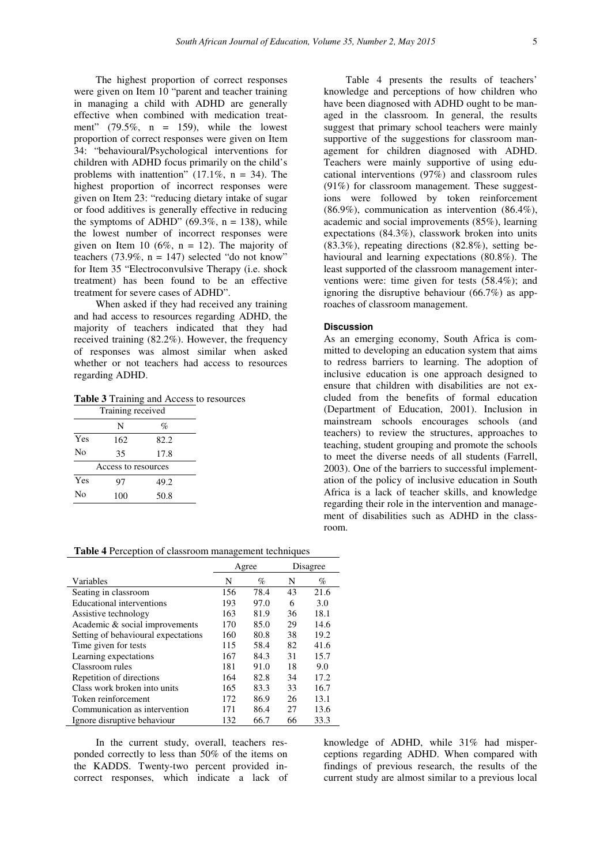The highest proportion of correct responses were given on Item 10 "parent and teacher training in managing a child with ADHD are generally effective when combined with medication treatment" (79.5%,  $n = 159$ ), while the lowest proportion of correct responses were given on Item 34: "behavioural/Psychological interventions for children with ADHD focus primarily on the child's problems with inattention"  $(17.1\%, n = 34)$ . The highest proportion of incorrect responses were given on Item 23: "reducing dietary intake of sugar or food additives is generally effective in reducing the symptoms of ADHD" (69.3%,  $n = 138$ ), while the lowest number of incorrect responses were given on Item 10 (6%,  $n = 12$ ). The majority of teachers  $(73.9\%), n = 147$  selected "do not know" for Item 35 "Electroconvulsive Therapy (i.e. shock treatment) has been found to be an effective treatment for severe cases of ADHD".

When asked if they had received any training and had access to resources regarding ADHD, the majority of teachers indicated that they had received training (82.2%). However, the frequency of responses was almost similar when asked whether or not teachers had access to resources regarding ADHD.

**Table 3** Training and Access to resources

| Training received   |     |      |  |  |
|---------------------|-----|------|--|--|
|                     | N   | %    |  |  |
| Yes                 | 162 | 82.2 |  |  |
| N <sub>0</sub>      | 35  | 17.8 |  |  |
| Access to resources |     |      |  |  |
| Yes                 | 97  | 49.2 |  |  |
| No                  | 100 | 50.8 |  |  |

**Table 4** Perception of classroom management techniques

|                                     | Agree |      | Disagree |      |
|-------------------------------------|-------|------|----------|------|
| Variables                           | N     | $\%$ | N        | %    |
| Seating in classroom                | 156   | 78.4 | 43       | 21.6 |
| Educational interventions           | 193   | 97.0 | 6        | 3.0  |
| Assistive technology                | 163   | 81.9 | 36       | 18.1 |
| Academic & social improvements      | 170   | 85.0 | 29       | 14.6 |
| Setting of behavioural expectations | 160   | 80.8 | 38       | 19.2 |
| Time given for tests                | 115   | 58.4 | 82       | 41.6 |
| Learning expectations               | 167   | 84.3 | 31       | 15.7 |
| Classroom rules                     | 181   | 91.0 | 18       | 9.0  |
| Repetition of directions            | 164   | 82.8 | 34       | 17.2 |
| Class work broken into units        | 165   | 83.3 | 33       | 16.7 |
| Token reinforcement                 | 172   | 86.9 | 26       | 13.1 |
| Communication as intervention       | 171   | 86.4 | 27       | 13.6 |
| Ignore disruptive behaviour         | 132   | 66.7 | 66       | 33.3 |

In the current study, overall, teachers responded correctly to less than 50% of the items on the KADDS. Twenty-two percent provided incorrect responses, which indicate a lack of

knowledge of ADHD, while 31% had misperceptions regarding ADHD. When compared with findings of previous research, the results of the current study are almost similar to a previous local

Table 4 presents the results of teachers' knowledge and perceptions of how children who have been diagnosed with ADHD ought to be managed in the classroom. In general, the results suggest that primary school teachers were mainly supportive of the suggestions for classroom management for children diagnosed with ADHD. Teachers were mainly supportive of using educational interventions (97%) and classroom rules (91%) for classroom management. These suggestions were followed by token reinforcement (86.9%), communication as intervention (86.4%), academic and social improvements (85%), learning expectations (84.3%), classwork broken into units  $(83.3\%)$ , repeating directions  $(82.8\%)$ , setting behavioural and learning expectations (80.8%). The least supported of the classroom management interventions were: time given for tests (58.4%); and ignoring the disruptive behaviour (66.7%) as approaches of classroom management.

# **Discussion**

As an emerging economy, South Africa is committed to developing an education system that aims to redress barriers to learning. The adoption of inclusive education is one approach designed to ensure that children with disabilities are not excluded from the benefits of formal education (Department of Education, 2001). Inclusion in mainstream schools encourages schools (and teachers) to review the structures, approaches to teaching, student grouping and promote the schools to meet the diverse needs of all students (Farrell, 2003). One of the barriers to successful implementation of the policy of inclusive education in South Africa is a lack of teacher skills, and knowledge regarding their role in the intervention and management of disabilities such as ADHD in the classroom.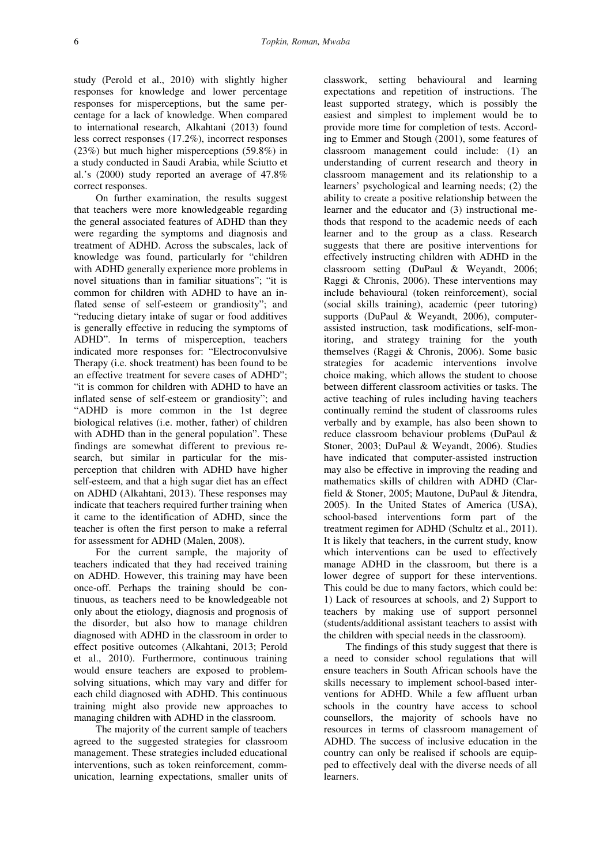study (Perold et al., 2010) with slightly higher responses for knowledge and lower percentage responses for misperceptions, but the same percentage for a lack of knowledge. When compared to international research, Alkahtani (2013) found less correct responses (17.2%), incorrect responses (23%) but much higher misperceptions (59.8%) in a study conducted in Saudi Arabia, while Sciutto et al.'s (2000) study reported an average of 47.8% correct responses.

On further examination, the results suggest that teachers were more knowledgeable regarding the general associated features of ADHD than they were regarding the symptoms and diagnosis and treatment of ADHD. Across the subscales, lack of knowledge was found, particularly for "children with ADHD generally experience more problems in novel situations than in familiar situations"; "it is common for children with ADHD to have an inflated sense of self-esteem or grandiosity"; and "reducing dietary intake of sugar or food additives is generally effective in reducing the symptoms of ADHD". In terms of misperception, teachers indicated more responses for: "Electroconvulsive Therapy (i.e. shock treatment) has been found to be an effective treatment for severe cases of ADHD"; "it is common for children with ADHD to have an inflated sense of self-esteem or grandiosity"; and "ADHD is more common in the 1st degree biological relatives (i.e. mother, father) of children with ADHD than in the general population". These findings are somewhat different to previous research, but similar in particular for the misperception that children with ADHD have higher self-esteem, and that a high sugar diet has an effect on ADHD (Alkahtani, 2013). These responses may indicate that teachers required further training when it came to the identification of ADHD, since the teacher is often the first person to make a referral for assessment for ADHD (Malen, 2008).

For the current sample, the majority of teachers indicated that they had received training on ADHD. However, this training may have been once-off. Perhaps the training should be continuous, as teachers need to be knowledgeable not only about the etiology, diagnosis and prognosis of the disorder, but also how to manage children diagnosed with ADHD in the classroom in order to effect positive outcomes (Alkahtani, 2013; Perold et al., 2010). Furthermore, continuous training would ensure teachers are exposed to problemsolving situations, which may vary and differ for each child diagnosed with ADHD. This continuous training might also provide new approaches to managing children with ADHD in the classroom.

The majority of the current sample of teachers agreed to the suggested strategies for classroom management. These strategies included educational interventions, such as token reinforcement, communication, learning expectations, smaller units of classwork, setting behavioural and learning expectations and repetition of instructions. The least supported strategy, which is possibly the easiest and simplest to implement would be to provide more time for completion of tests. According to Emmer and Stough (2001), some features of classroom management could include: (1) an understanding of current research and theory in classroom management and its relationship to a learners' psychological and learning needs; (2) the ability to create a positive relationship between the learner and the educator and (3) instructional methods that respond to the academic needs of each learner and to the group as a class. Research suggests that there are positive interventions for effectively instructing children with ADHD in the classroom setting (DuPaul & Weyandt, 2006; Raggi & Chronis, 2006). These interventions may include behavioural (token reinforcement), social (social skills training), academic (peer tutoring) supports (DuPaul & Weyandt, 2006), computerassisted instruction, task modifications, self-monitoring, and strategy training for the youth themselves (Raggi & Chronis, 2006). Some basic strategies for academic interventions involve choice making, which allows the student to choose between different classroom activities or tasks. The active teaching of rules including having teachers continually remind the student of classrooms rules verbally and by example, has also been shown to reduce classroom behaviour problems (DuPaul & Stoner, 2003; DuPaul & Weyandt, 2006). Studies have indicated that computer-assisted instruction may also be effective in improving the reading and mathematics skills of children with ADHD (Clarfield & Stoner, 2005; Mautone, DuPaul & Jitendra, 2005). In the United States of America (USA), school-based interventions form part of the treatment regimen for ADHD (Schultz et al., 2011). It is likely that teachers, in the current study, know which interventions can be used to effectively manage ADHD in the classroom, but there is a lower degree of support for these interventions. This could be due to many factors, which could be: 1) Lack of resources at schools, and 2) Support to teachers by making use of support personnel (students/additional assistant teachers to assist with the children with special needs in the classroom).

The findings of this study suggest that there is a need to consider school regulations that will ensure teachers in South African schools have the skills necessary to implement school-based interventions for ADHD. While a few affluent urban schools in the country have access to school counsellors, the majority of schools have no resources in terms of classroom management of ADHD. The success of inclusive education in the country can only be realised if schools are equipped to effectively deal with the diverse needs of all learners.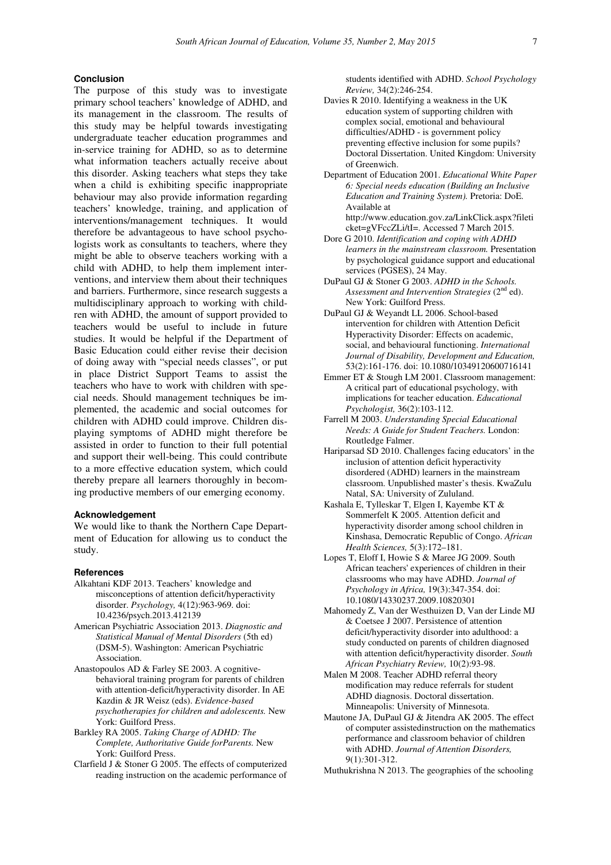# **Conclusion**

The purpose of this study was to investigate primary school teachers' knowledge of ADHD, and its management in the classroom. The results of this study may be helpful towards investigating undergraduate teacher education programmes and in-service training for ADHD, so as to determine what information teachers actually receive about this disorder. Asking teachers what steps they take when a child is exhibiting specific inappropriate behaviour may also provide information regarding teachers' knowledge, training, and application of interventions/management techniques. It would therefore be advantageous to have school psychologists work as consultants to teachers, where they might be able to observe teachers working with a child with ADHD, to help them implement interventions, and interview them about their techniques and barriers. Furthermore, since research suggests a multidisciplinary approach to working with children with ADHD, the amount of support provided to teachers would be useful to include in future studies. It would be helpful if the Department of Basic Education could either revise their decision of doing away with "special needs classes", or put in place District Support Teams to assist the teachers who have to work with children with special needs. Should management techniques be implemented, the academic and social outcomes for children with ADHD could improve. Children displaying symptoms of ADHD might therefore be assisted in order to function to their full potential and support their well-being. This could contribute to a more effective education system, which could thereby prepare all learners thoroughly in becoming productive members of our emerging economy.

### **Acknowledgement**

We would like to thank the Northern Cape Department of Education for allowing us to conduct the study.

### **References**

- Alkahtani KDF 2013. Teachers' knowledge and misconceptions of attention deficit/hyperactivity disorder. *Psychology,* 4(12):963-969. doi: 10.4236/psych.2013.412139
- American Psychiatric Association 2013. *Diagnostic and Statistical Manual of Mental Disorders* (5th ed) (DSM-5). Washington: American Psychiatric Association.
- Anastopoulos AD & Farley SE 2003. A cognitivebehavioral training program for parents of children with attention-deficit/hyperactivity disorder. In AE Kazdin & JR Weisz (eds). *Evidence-based psychotherapies for children and adolescents.* New York: Guilford Press.
- Barkley RA 2005. *Taking Charge of ADHD: The Complete, Authoritative Guide forParents.* New York: Guilford Press.
- Clarfield J & Stoner G 2005. The effects of computerized reading instruction on the academic performance of

students identified with ADHD. *School Psychology Review,* 34(2):246-254.

- Davies R 2010. Identifying a weakness in the UK education system of supporting children with complex social, emotional and behavioural difficulties/ADHD - is government policy preventing effective inclusion for some pupils? Doctoral Dissertation. United Kingdom: University of Greenwich.
- Department of Education 2001. *Educational White Paper 6: Special needs education (Building an Inclusive Education and Training System).* Pretoria: DoE. Available at
	- http://www.education.gov.za/LinkClick.aspx?fileti cket=gVFccZLi/tI=. Accessed 7 March 2015.
- Dore G 2010. *Identification and coping with ADHD learners in the mainstream classroom.* Presentation by psychological guidance support and educational services (PGSES), 24 May.
- DuPaul GJ & Stoner G 2003. *ADHD in the Schools.*  Assessment and Intervention Strategies (2<sup>nd</sup> ed). New York: Guilford Press.
- DuPaul GJ & Weyandt LL 2006. School-based intervention for children with Attention Deficit Hyperactivity Disorder: Effects on academic, social, and behavioural functioning. *International Journal of Disability, Development and Education,*  53(2):161-176. doi: 10.1080/10349120600716141
- Emmer ET & Stough LM 2001. Classroom management: A critical part of educational psychology, with implications for teacher education. *Educational Psychologist,* 36(2):103-112.
- Farrell M 2003. *Understanding Special Educational Needs: A Guide for Student Teachers.* London: Routledge Falmer.
- Hariparsad SD 2010. Challenges facing educators' in the inclusion of attention deficit hyperactivity disordered (ADHD) learners in the mainstream classroom. Unpublished master's thesis. KwaZulu Natal, SA: University of Zululand.
- Kashala E, Tylleskar T, Elgen I, Kayembe KT & Sommerfelt K 2005. Attention deficit and hyperactivity disorder among school children in Kinshasa, Democratic Republic of Congo. *African Health Sciences,* 5(3):172–181.
- Lopes T, Eloff I, Howie S & Maree JG 2009. South African teachers' experiences of children in their classrooms who may have ADHD. *Journal of Psychology in Africa,* 19(3):347-354. doi: 10.1080/14330237.2009.10820301
- Mahomedy Z, Van der Westhuizen D, Van der Linde MJ & Coetsee J 2007. Persistence of attention deficit/hyperactivity disorder into adulthood: a study conducted on parents of children diagnosed with attention deficit/hyperactivity disorder. *South African Psychiatry Review,* 10(2):93-98.
- Malen M 2008. Teacher ADHD referral theory modification may reduce referrals for student ADHD diagnosis. Doctoral dissertation. Minneapolis: University of Minnesota.
- Mautone JA, DuPaul GJ & Jitendra AK 2005. The effect of computer assistedinstruction on the mathematics performance and classroom behavior of children with ADHD. *Journal of Attention Disorders,*  9(1)*:*301-312.
- Muthukrishna N 2013. The geographies of the schooling